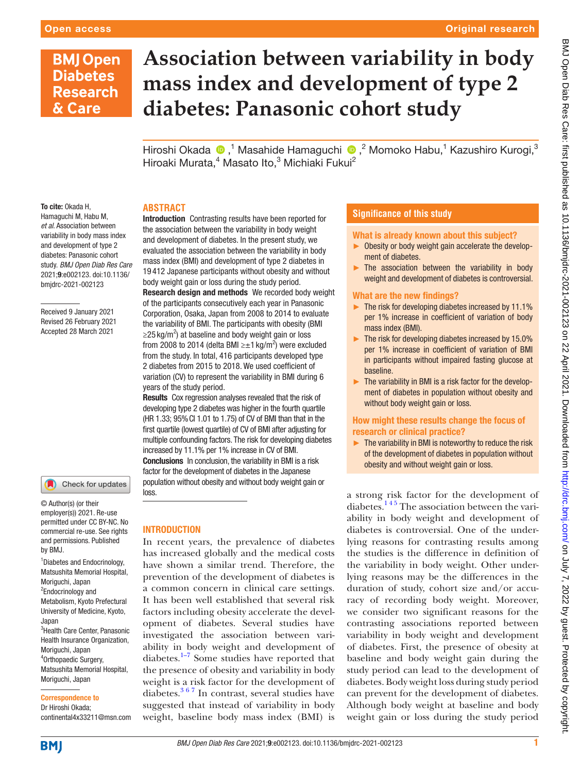# **BMJ Open Diabetes Research** & Care

# **Association between variability in body mass index and development of type 2 diabetes: Panasonic cohort study**

HiroshiOkada ®,<sup>1</sup> Masahide Hamaguchi ®,<sup>2</sup> Momoko Habu,<sup>1</sup> Kazushiro Kurogi,<sup>3</sup> Hiroaki Murata,<sup>4</sup> Masato Ito,<sup>3</sup> Michiaki Fukui<sup>2</sup>

# **ABSTRACT**

To cite: Okada H, Hamaguchi M, Habu M, *et al*. Association between variability in body mass index and development of type 2 diabetes: Panasonic cohort study. *BMJ Open Diab Res Care* 2021;9:e002123. doi:10.1136/ bmjdrc-2021-002123

Received 9 January 2021 Revised 26 February 2021 Accepted 28 March 2021

#### Check for updates

© Author(s) (or their employer(s)) 2021. Re-use permitted under CC BY-NC. No commercial re-use. See rights and permissions. Published by BMJ.

1 Diabetes and Endocrinology, Matsushita Memorial Hospital, Moriguchi, Japan <sup>2</sup>Endocrinology and Metabolism, Kyoto Prefectural University of Medicine, Kyoto, Japan <sup>3</sup>Health Care Center, Panasonic Health Insurance Organization, Moriguchi, Japan

4 Orthopaedic Surgery, Matsushita Memorial Hospital, Moriguchi, Japan

#### Correspondence to

Dr Hiroshi Okada; continental4x33211@msn.com

Introduction Contrasting results have been reported for the association between the variability in body weight and development of diabetes. In the present study, we evaluated the association between the variability in body mass index (BMI) and development of type 2 diabetes in 19 412 Japanese participants without obesity and without body weight gain or loss during the study period.

Research design and methods We recorded body weight of the participants consecutively each year in Panasonic Corporation, Osaka, Japan from 2008 to 2014 to evaluate the variability of BMI. The participants with obesity (BMI  $\geq$ 25 kg/m<sup>2</sup>) at baseline and body weight gain or loss from 2008 to 2014 (delta BMI ≥ $\pm$ 1 kg/m<sup>2</sup>) were excluded from the study. In total, 416 participants developed type 2 diabetes from 2015 to 2018. We used coefficient of variation (CV) to represent the variability in BMI during 6 years of the study period.

Results Cox regression analyses revealed that the risk of developing type 2 diabetes was higher in the fourth quartile (HR 1.33; 95%CI 1.01 to 1.75) of CV of BMI than that in the first quartile (lowest quartile) of CV of BMI after adjusting for multiple confounding factors. The risk for developing diabetes increased by 11.1% per 1% increase in CV of BMI. Conclusions In conclusion, the variability in BMI is a risk factor for the development of diabetes in the Japanese population without obesity and without body weight gain or loss.

# INTRODUCTION

In recent years, the prevalence of diabetes has increased globally and the medical costs have shown a similar trend. Therefore, the prevention of the development of diabetes is a common concern in clinical care settings. It has been well established that several risk factors including obesity accelerate the development of diabetes. Several studies have investigated the association between variability in body weight and development of diabetes.<sup>1-7</sup> Some studies have reported that the presence of obesity and variability in body weight is a risk factor for the development of diabetes. $367$  In contrast, several studies have suggested that instead of variability in body weight, baseline body mass index (BMI) is

# **Significance of this study**

#### What is already known about this subject?

- ► Obesity or body weight gain accelerate the development of diabetes.
- $\blacktriangleright$  The association between the variability in body weight and development of diabetes is controversial.

#### What are the new findings?

- ► The risk for developing diabetes increased by 11.1% per 1% increase in coefficient of variation of body mass index (BMI).
- ► The risk for developing diabetes increased by 15.0% per 1% increase in coefficient of variation of BMI in participants without impaired fasting glucose at baseline.
- ► The variability in BMI is a risk factor for the development of diabetes in population without obesity and without body weight gain or loss.

# How might these results change the focus of research or clinical practice?

 $\blacktriangleright$  The variability in BMI is noteworthy to reduce the risk of the development of diabetes in population without obesity and without weight gain or loss.

a strong risk factor for the development of diabetes.<sup>145</sup> The association between the variability in body weight and development of diabetes is controversial. One of the underlying reasons for contrasting results among the studies is the difference in definition of the variability in body weight. Other underlying reasons may be the differences in the duration of study, cohort size and/or accuracy of recording body weight. Moreover, we consider two significant reasons for the contrasting associations reported between variability in body weight and development of diabetes. First, the presence of obesity at baseline and body weight gain during the study period can lead to the development of diabetes. Body weight loss during study period can prevent for the development of diabetes. Although body weight at baseline and body weight gain or loss during the study period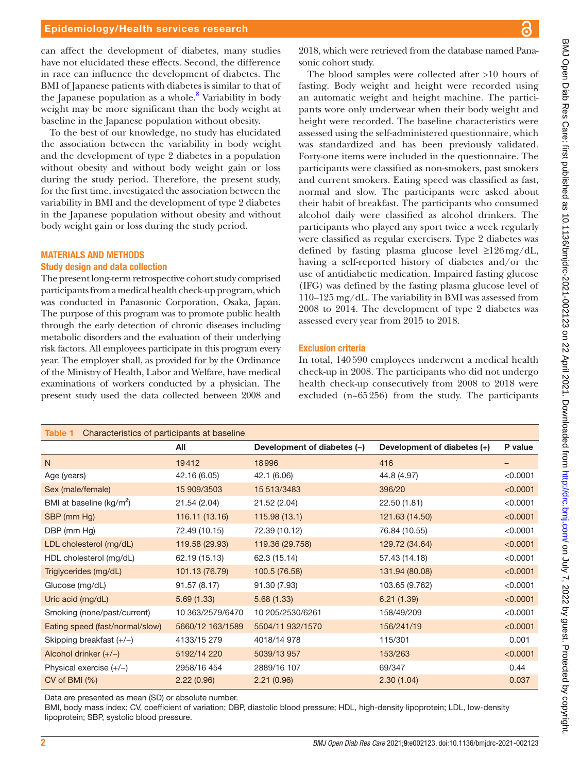can affect the development of diabetes, many studies have not elucidated these effects. Second, the difference in race can influence the development of diabetes. The BMI of Japanese patients with diabetes is similar to that of the Japanese population as a whole.<sup>[8](#page-5-2)</sup> Variability in body weight may be more significant than the body weight at baseline in the Japanese population without obesity.

To the best of our knowledge, no study has elucidated the association between the variability in body weight and the development of type 2 diabetes in a population without obesity and without body weight gain or loss during the study period. Therefore, the present study, for the first time, investigated the association between the variability in BMI and the development of type 2 diabetes in the Japanese population without obesity and without body weight gain or loss during the study period.

# MATERIALS AND METHODS

# Study design and data collection

The present long-term retrospective cohort study comprised participants from a medical health check-up program, which was conducted in Panasonic Corporation, Osaka, Japan. The purpose of this program was to promote public health through the early detection of chronic diseases including metabolic disorders and the evaluation of their underlying risk factors. All employees participate in this program every year. The employer shall, as provided for by the Ordinance of the Ministry of Health, Labor and Welfare, have medical examinations of workers conducted by a physician. The present study used the data collected between 2008 and

2018, which were retrieved from the database named Panasonic cohort study.

The blood samples were collected after >10 hours of fasting. Body weight and height were recorded using an automatic weight and height machine. The participants wore only underwear when their body weight and height were recorded. The baseline characteristics were assessed using the self-administered questionnaire, which was standardized and has been previously validated. Forty-one items were included in the questionnaire. The participants were classified as non-smokers, past smokers and current smokers. Eating speed was classified as fast, normal and slow. The participants were asked about their habit of breakfast. The participants who consumed alcohol daily were classified as alcohol drinkers. The participants who played any sport twice a week regularly were classified as regular exercisers. Type 2 diabetes was defined by fasting plasma glucose level ≥126mg/dL, having a self-reported history of diabetes and/or the use of antidiabetic medication. Impaired fasting glucose (IFG) was defined by the fasting plasma glucose level of 110–125 mg/dL. The variability in BMI was assessed from 2008 to 2014. The development of type 2 diabetes was assessed every year from 2015 to 2018.

#### Exclusion criteria

In total, 140590 employees underwent a medical health check-up in 2008. The participants who did not undergo health check-up consecutively from 2008 to 2018 were excluded (n=65256) from the study. The participants

<span id="page-1-0"></span>

| Characteristics of participants at baseline<br>Table 1 |                  |                             |                             |          |
|--------------------------------------------------------|------------------|-----------------------------|-----------------------------|----------|
|                                                        | All              | Development of diabetes (-) | Development of diabetes (+) | P value  |
| N                                                      | 19412            | 18996                       | 416                         | -        |
| Age (years)                                            | 42.16 (6.05)     | 42.1 (6.06)                 | 44.8 (4.97)                 | < 0.0001 |
| Sex (male/female)                                      | 15 909/3503      | 15 513/3483                 | 396/20                      | < 0.0001 |
| BMI at baseline (kg/m <sup>2</sup> )                   | 21.54 (2.04)     | 21.52 (2.04)                | 22.50 (1.81)                | < 0.0001 |
| SBP (mm Hg)                                            | 116.11 (13.16)   | 115.98(13.1)                | 121.63 (14.50)              | < 0.0001 |
| DBP (mm Hg)                                            | 72.49 (10.15)    | 72.39 (10.12)               | 76.84 (10.55)               | < 0.0001 |
| LDL cholesterol (mg/dL)                                | 119.58 (29.93)   | 119.36 (29.758)             | 129.72 (34.64)              | < 0.0001 |
| HDL cholesterol (mg/dL)                                | 62.19 (15.13)    | 62.3 (15.14)                | 57.43 (14.18)               | < 0.0001 |
| Triglycerides (mg/dL)                                  | 101.13 (76.79)   | 100.5 (76.58)               | 131.94 (80.08)              | < 0.0001 |
| Glucose (mg/dL)                                        | 91.57 (8.17)     | 91.30 (7.93)                | 103.65 (9.762)              | < 0.0001 |
| Uric acid (mg/dL)                                      | 5.69(1.33)       | 5.68(1.33)                  | 6.21(1.39)                  | < 0.0001 |
| Smoking (none/past/current)                            | 10 363/2579/6470 | 10 205/2530/6261            | 158/49/209                  | < 0.0001 |
| Eating speed (fast/normal/slow)                        | 5660/12 163/1589 | 5504/11 932/1570            | 156/241/19                  | < 0.0001 |
| Skipping breakfast $(+/-)$                             | 4133/15 279      | 4018/14 978                 | 115/301                     | 0.001    |
| Alcohol drinker $(+/-)$                                | 5192/14 220      | 5039/13 957                 | 153/263                     | < 0.0001 |
| Physical exercise $(+/-)$                              | 2958/16 454      | 2889/16 107                 | 69/347                      | 0.44     |
| CV of BMI (%)                                          | 2.22(0.96)       | 2.21(0.96)                  | 2.30(1.04)                  | 0.037    |

Data are presented as mean (SD) or absolute number.

BMI, body mass index; CV, coefficient of variation; DBP, diastolic blood pressure; HDL, high-density lipoprotein; LDL, low-density lipoprotein; SBP, systolic blood pressure.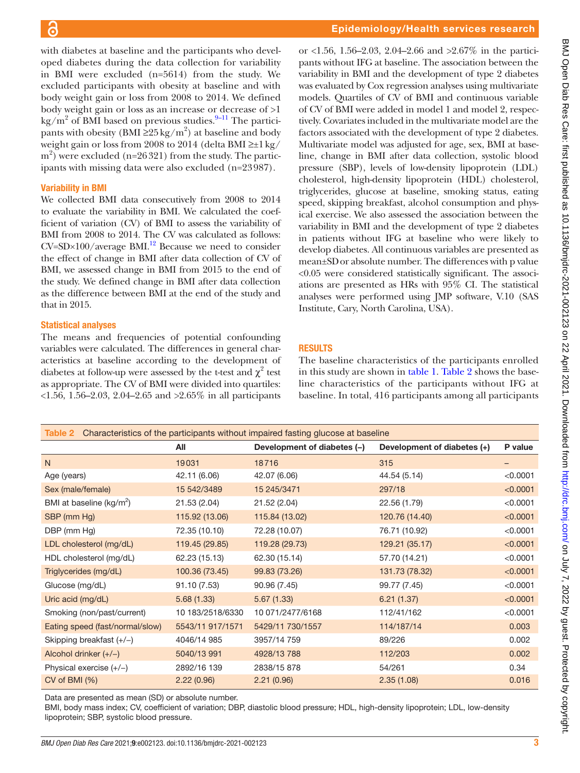with diabetes at baseline and the participants who developed diabetes during the data collection for variability in BMI were excluded (n=5614) from the study. We excluded participants with obesity at baseline and with body weight gain or loss from 2008 to 2014. We defined body weight gain or loss as an increase or decrease of >1 kg/m<sup>2</sup> of BMI based on previous studies.<sup>9-11</sup> The participants with obesity (BMI  $\geq 25 \text{ kg/m}^2$ ) at baseline and body weight gain or loss from 2008 to 2014 (delta BMI  $\geq \pm 1$  kg/  $(m<sup>2</sup>)$  were excluded (n=26321) from the study. The participants with missing data were also excluded (n=23987).

#### Variability in BMI

We collected BMI data consecutively from 2008 to 2014 to evaluate the variability in BMI. We calculated the coefficient of variation (CV) of BMI to assess the variability of BMI from 2008 to 2014. The CV was calculated as follows:  $CV=SD \times 100/average~BMI.<sup>12</sup> Because we need to consider$ the effect of change in BMI after data collection of CV of BMI, we assessed change in BMI from 2015 to the end of the study. We defined change in BMI after data collection as the difference between BMI at the end of the study and that in 2015.

#### Statistical analyses

The means and frequencies of potential confounding variables were calculated. The differences in general characteristics at baseline according to the development of diabetes at follow-up were assessed by the t-test and  $\chi^2$  test as appropriate. The CV of BMI were divided into quartiles: <1.56, 1.56–2.03, 2.04–2.65 and >2.65% in all participants

or <1.56, 1.56–2.03, 2.04–2.66 and >2.67% in the participants without IFG at baseline. The association between the variability in BMI and the development of type 2 diabetes was evaluated by Cox regression analyses using multivariate models. Quartiles of CV of BMI and continuous variable of CV of BMI were added in model 1 and model 2, respectively. Covariates included in the multivariate model are the factors associated with the development of type 2 diabetes. Multivariate model was adjusted for age, sex, BMI at baseline, change in BMI after data collection, systolic blood pressure (SBP), levels of low-density lipoprotein (LDL) cholesterol, high-density lipoprotein (HDL) cholesterol, triglycerides, glucose at baseline, smoking status, eating speed, skipping breakfast, alcohol consumption and physical exercise. We also assessed the association between the variability in BMI and the development of type 2 diabetes in patients without IFG at baseline who were likely to develop diabetes. All continuous variables are presented as mean±SDor absolute number. The differences with p value <0.05 were considered statistically significant. The associations are presented as HRs with 95% CI. The statistical analyses were performed using JMP software, V.10 (SAS Institute, Cary, North Carolina, USA).

## RESULTS

The baseline characteristics of the participants enrolled in this study are shown in [table](#page-1-0) 1. [Table](#page-2-0) 2 shows the baseline characteristics of the participants without IFG at baseline. In total, 416 participants among all participants

<span id="page-2-0"></span>

| Characteristics of the participants without impaired fasting glucose at baseline<br>Table 2 |                  |                             |                             |          |  |
|---------------------------------------------------------------------------------------------|------------------|-----------------------------|-----------------------------|----------|--|
|                                                                                             | All              | Development of diabetes (-) | Development of diabetes (+) | P value  |  |
| N                                                                                           | 19031            | 18716                       | 315                         | -        |  |
| Age (years)                                                                                 | 42.11 (6.06)     | 42.07 (6.06)                | 44.54 (5.14)                | < 0.0001 |  |
| Sex (male/female)                                                                           | 15 542/3489      | 15 245/3471                 | 297/18                      | < 0.0001 |  |
| BMI at baseline (kg/m <sup>2</sup> )                                                        | 21.53 (2.04)     | 21.52 (2.04)                | 22.56 (1.79)                | < 0.0001 |  |
| SBP (mm Hg)                                                                                 | 115.92 (13.06)   | 115.84 (13.02)              | 120.76 (14.40)              | < 0.0001 |  |
| DBP (mm Hg)                                                                                 | 72.35 (10.10)    | 72.28 (10.07)               | 76.71 (10.92)               | < 0.0001 |  |
| LDL cholesterol (mg/dL)                                                                     | 119.45 (29.85)   | 119.28 (29.73)              | 129.21 (35.17)              | < 0.0001 |  |
| HDL cholesterol (mg/dL)                                                                     | 62.23 (15.13)    | 62.30 (15.14)               | 57.70 (14.21)               | < 0.0001 |  |
| Triglycerides (mg/dL)                                                                       | 100.36 (73.45)   | 99.83 (73.26)               | 131.73 (78.32)              | < 0.0001 |  |
| Glucose (mg/dL)                                                                             | 91.10 (7.53)     | 90.96 (7.45)                | 99.77 (7.45)                | < 0.0001 |  |
| Uric acid (mg/dL)                                                                           | 5.68(1.33)       | 5.67(1.33)                  | 6.21(1.37)                  | < 0.0001 |  |
| Smoking (non/past/current)                                                                  | 10 183/2518/6330 | 10 071/2477/6168            | 112/41/162                  | < 0.0001 |  |
| Eating speed (fast/normal/slow)                                                             | 5543/11 917/1571 | 5429/11 730/1557            | 114/187/14                  | 0.003    |  |
| Skipping breakfast $(+/-)$                                                                  | 4046/14 985      | 3957/14 759                 | 89/226                      | 0.002    |  |
| Alcohol drinker $(+/-)$                                                                     | 5040/13 991      | 4928/13 788                 | 112/203                     | 0.002    |  |
| Physical exercise $(+/-)$                                                                   | 2892/16 139      | 2838/15 878                 | 54/261                      | 0.34     |  |
| CV of BMI (%)                                                                               | 2.22(0.96)       | 2.21(0.96)                  | 2.35(1.08)                  | 0.016    |  |

Data are presented as mean (SD) or absolute number.

BMI, body mass index; CV, coefficient of variation; DBP, diastolic blood pressure; HDL, high-density lipoprotein; LDL, low-density lipoprotein; SBP, systolic blood pressure.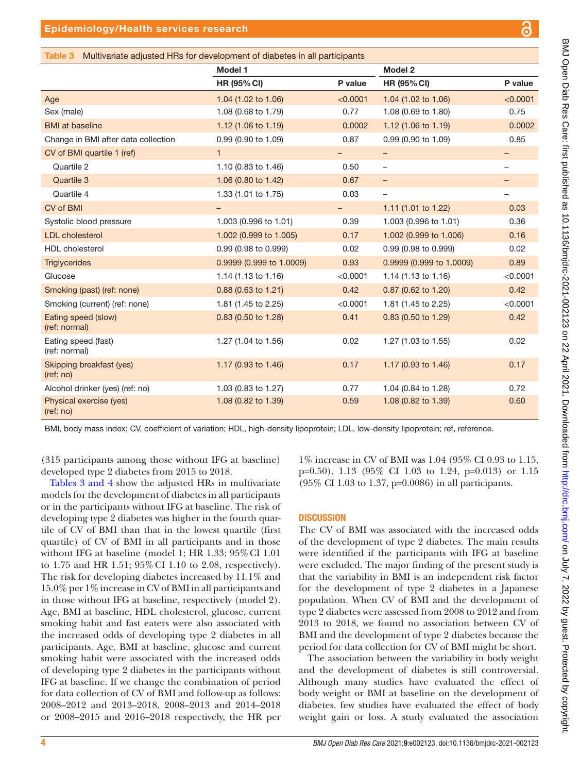# <span id="page-3-0"></span>Epidemiology/Health services research

| . .<br>. .<br>۰. |  |
|------------------|--|
|                  |  |
|                  |  |

|                                      | Model 1                  |          | Model 2                        |                          |
|--------------------------------------|--------------------------|----------|--------------------------------|--------------------------|
|                                      | <b>HR (95% CI)</b>       | P value  | <b>HR (95% CI)</b>             | P value                  |
| Age                                  | 1.04 (1.02 to 1.06)      | < 0.0001 | 1.04 (1.02 to 1.06)            | < 0.0001                 |
| Sex (male)                           | 1.08 (0.68 to 1.79)      | 0.77     | 1.08 (0.69 to 1.80)            | 0.75                     |
| <b>BMI</b> at baseline               | 1.12 (1.06 to 1.19)      | 0.0002   | 1.12 (1.06 to 1.19)            | 0.0002                   |
| Change in BMI after data collection  | 0.99 (0.90 to 1.09)      | 0.87     | 0.99 (0.90 to 1.09)            | 0.85                     |
| CV of BMI quartile 1 (ref)           | $\mathbf{1}$             |          | $\qquad \qquad -$              | -                        |
| Quartile 2                           | 1.10 (0.83 to 1.46)      | 0.50     | $\overline{\phantom{a}}$       | -                        |
| Quartile 3                           | 1.06 (0.80 to 1.42)      | 0.67     | $\overline{\phantom{a}}$       | -                        |
| Quartile 4                           | 1.33 (1.01 to 1.75)      | 0.03     |                                | $\overline{\phantom{0}}$ |
| CV of BMI                            | $\overline{\phantom{0}}$ | -        | 1.11 $(1.01 \text{ to } 1.22)$ | 0.03                     |
| Systolic blood pressure              | 1.003 (0.996 to 1.01)    | 0.39     | 1.003 (0.996 to 1.01)          | 0.36                     |
| <b>LDL</b> cholesterol               | 1.002 (0.999 to 1.005)   | 0.17     | 1.002 (0.999 to 1.006)         | 0.16                     |
| <b>HDL</b> cholesterol               | 0.99 (0.98 to 0.999)     | 0.02     | 0.99 (0.98 to 0.999)           | 0.02                     |
| <b>Triglycerides</b>                 | 0.9999 (0.999 to 1.0009) | 0.93     | 0.9999 (0.999 to 1.0009)       | 0.89                     |
| Glucose                              | 1.14 (1.13 to 1.16)      | < 0.0001 | 1.14 (1.13 to 1.16)            | < 0.0001                 |
| Smoking (past) (ref: none)           | 0.88 (0.63 to 1.21)      | 0.42     | 0.87 (0.62 to 1.20)            | 0.42                     |
| Smoking (current) (ref: none)        | 1.81 (1.45 to 2.25)      | < 0.0001 | 1.81 (1.45 to 2.25)            | < 0.0001                 |
| Eating speed (slow)<br>(ref: normal) | $0.83$ (0.50 to 1.28)    | 0.41     | $0.83$ (0.50 to 1.29)          | 0.42                     |
| Eating speed (fast)<br>(ref: normal) | 1.27 (1.04 to 1.56)      | 0.02     | 1.27 (1.03 to 1.55)            | 0.02                     |
| Skipping breakfast (yes)<br>(ref:no) | 1.17 (0.93 to 1.46)      | 0.17     | 1.17 (0.93 to 1.46)            | 0.17                     |
| Alcohol drinker (yes) (ref: no)      | 1.03 (0.83 to 1.27)      | 0.77     | 1.04 (0.84 to 1.28)            | 0.72                     |
| Physical exercise (yes)<br>(ref:no)  | 1.08 (0.82 to 1.39)      | 0.59     | 1.08 (0.82 to 1.39)            | 0.60                     |

(315 participants among those without IFG at baseline)

developed type 2 diabetes from 2015 to 2018. Tables [3 and 4](#page-3-0) show the adjusted HRs in multivariate models for the development of diabetes in all participants or in the participants without IFG at baseline. The risk of developing type 2 diabetes was higher in the fourth quartile of CV of BMI than that in the lowest quartile (first quartile) of CV of BMI in all participants and in those without IFG at baseline (model 1; HR 1.33;  $95\%$  CI 1.01 to 1.75 and HR 1.51; 95%CI 1.10 to 2.08, respectively). The risk for developing diabetes increased by 11.1% and 15.0% per 1% increase in CV of BMI in all participants and in those without IFG at baseline, respectively (model 2). Age, BMI at baseline, HDL cholesterol, glucose, current smoking habit and fast eaters were also associated with the increased odds of developing type 2 diabetes in all participants. Age, BMI at baseline, glucose and current smoking habit were associated with the increased odds of developing type 2 diabetes in the participants without IFG at baseline. If we change the combination of period for data collection of CV of BMI and follow-up as follows: 2008–2012 and 2013–2018, 2008–2013 and 2014–2018 or 2008–2015 and 2016–2018 respectively, the HR per

1% increase in CV of BMI was 1.04 (95% CI 0.93 to 1.15, p=0.50), 1.13 (95% CI 1.03 to 1.24, p=0.013) or 1.15 (95% CI 1.03 to 1.37, p=0.0086) in all participants.

# **DISCUSSION**

The CV of BMI was associated with the increased odds of the development of type 2 diabetes. The main results were identified if the participants with IFG at baseline were excluded. The major finding of the present study is that the variability in BMI is an independent risk factor for the development of type 2 diabetes in a Japanese population. When CV of BMI and the development of type 2 diabetes were assessed from 2008 to 2012 and from 2013 to 2018, we found no association between CV of BMI and the development of type 2 diabetes because the period for data collection for CV of BMI might be short.

The association between the variability in body weight and the development of diabetes is still controversial. Although many studies have evaluated the effect of body weight or BMI at baseline on the development of diabetes, few studies have evaluated the effect of body weight gain or loss. A study evaluated the association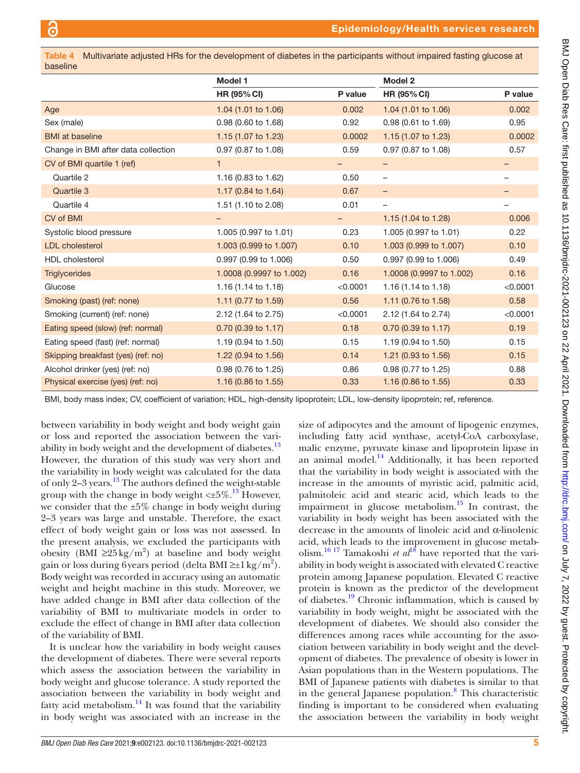| Table 4 Multivariate adjusted HRs for the development of diabetes in the participants without impaired fasting glucose at<br>baseline |                                |          |                                |          |  |
|---------------------------------------------------------------------------------------------------------------------------------------|--------------------------------|----------|--------------------------------|----------|--|
|                                                                                                                                       | Model 1                        |          | Model 2                        |          |  |
|                                                                                                                                       | <b>HR (95% CI)</b>             | P value  | <b>HR (95% CI)</b>             | P value  |  |
| Age                                                                                                                                   | 1.04 (1.01 to 1.06)            | 0.002    | 1.04 (1.01 to 1.06)            | 0.002    |  |
| Sex (male)                                                                                                                            | 0.98 (0.60 to 1.68)            | 0.92     | 0.98 (0.61 to 1.69)            | 0.95     |  |
| <b>BMI</b> at baseline                                                                                                                | 1.15 $(1.07 \text{ to } 1.23)$ | 0.0002   | 1.15 $(1.07 \text{ to } 1.23)$ | 0.0002   |  |
| Change in BMI after data collection                                                                                                   | 0.97 (0.87 to 1.08)            | 0.59     | 0.97 (0.87 to 1.08)            | 0.57     |  |
| CV of BMI quartile 1 (ref)                                                                                                            | $\mathbf{1}$                   |          |                                | -        |  |
| Quartile 2                                                                                                                            | 1.16 (0.83 to 1.62)            | 0.50     | -                              | -        |  |
| Quartile 3                                                                                                                            | 1.17 (0.84 to 1.64)            | 0.67     | -                              |          |  |
| Quartile 4                                                                                                                            | 1.51 (1.10 to 2.08)            | 0.01     |                                |          |  |
| CV of BMI                                                                                                                             |                                |          | 1.15 $(1.04 \text{ to } 1.28)$ | 0.006    |  |
| Systolic blood pressure                                                                                                               | 1.005 (0.997 to 1.01)          | 0.23     | 1.005 (0.997 to 1.01)          | 0.22     |  |
| <b>LDL</b> cholesterol                                                                                                                | 1.003 (0.999 to 1.007)         | 0.10     | 1.003 (0.999 to 1.007)         | 0.10     |  |
| HDL cholesterol                                                                                                                       | 0.997 (0.99 to 1.006)          | 0.50     | 0.997 (0.99 to 1.006)          | 0.49     |  |
| <b>Triglycerides</b>                                                                                                                  | 1.0008 (0.9997 to 1.002)       | 0.16     | 1.0008 (0.9997 to 1.002)       | 0.16     |  |
| Glucose                                                                                                                               | 1.16 $(1.14 \text{ to } 1.18)$ | < 0.0001 | 1.16 $(1.14 \text{ to } 1.18)$ | < 0.0001 |  |
| Smoking (past) (ref: none)                                                                                                            | 1.11 (0.77 to 1.59)            | 0.56     | 1.11 (0.76 to 1.58)            | 0.58     |  |
| Smoking (current) (ref: none)                                                                                                         | 2.12 (1.64 to 2.75)            | < 0.0001 | 2.12 (1.64 to 2.74)            | < 0.0001 |  |
| Eating speed (slow) (ref: normal)                                                                                                     | $0.70$ (0.39 to 1.17)          | 0.18     | $0.70$ (0.39 to 1.17)          | 0.19     |  |
| Eating speed (fast) (ref: normal)                                                                                                     | 1.19 (0.94 to 1.50)            | 0.15     | 1.19 (0.94 to 1.50)            | 0.15     |  |
| Skipping breakfast (yes) (ref: no)                                                                                                    | 1.22 $(0.94 \text{ to } 1.56)$ | 0.14     | 1.21 $(0.93 \text{ to } 1.56)$ | 0.15     |  |
| Alcohol drinker (yes) (ref: no)                                                                                                       | 0.98 (0.76 to 1.25)            | 0.86     | 0.98 (0.77 to 1.25)            | 0.88     |  |
| Physical exercise (yes) (ref: no)                                                                                                     | 1.16 $(0.86 \text{ to } 1.55)$ | 0.33     | 1.16 (0.86 to 1.55)            | 0.33     |  |

BMI, body mass index; CV, coefficient of variation; HDL, high-density lipoprotein; LDL, low-density lipoprotein; ref, reference.

between variability in body weight and body weight gain or loss and reported the association between the vari-ability in body weight and the development of diabetes.<sup>[13](#page-5-5)</sup> However, the duration of this study was very short and the variability in body weight was calculated for the data of only 2–3 years.[13](#page-5-5) The authors defined the weight-stable group with the change in body weight  $\langle \pm 5\% \cdot \right.^{13}$  However, we consider that the  $\pm 5\%$  change in body weight during 2–3 years was large and unstable. Therefore, the exact effect of body weight gain or loss was not assessed. In the present analysis, we excluded the participants with obesity (BMI ≥25 kg/m<sup>2</sup>) at baseline and body weight gain or loss during 6 years period (delta BMI ≥±1 kg/m<sup>2</sup>). Body weight was recorded in accuracy using an automatic weight and height machine in this study. Moreover, we have added change in BMI after data collection of the variability of BMI to multivariate models in order to exclude the effect of change in BMI after data collection of the variability of BMI.

It is unclear how the variability in body weight causes the development of diabetes. There were several reports which assess the association between the variability in body weight and glucose tolerance. A study reported the association between the variability in body weight and fatty acid metabolism. $^{14}$  It was found that the variability in body weight was associated with an increase in the

size of adipocytes and the amount of lipogenic enzymes, including fatty acid synthase, acetyl-CoA carboxylase, malic enzyme, pyruvate kinase and lipoprotein lipase in an animal model. $^{14}$  Additionally, it has been reported that the variability in body weight is associated with the increase in the amounts of myristic acid, palmitic acid, palmitoleic acid and stearic acid, which leads to the impairment in glucose metabolism. $\frac{15}{10}$  In contrast, the variability in body weight has been associated with the decrease in the amounts of linoleic acid and α-linolenic acid, which leads to the improvement in glucose metab-olism.<sup>[16 17](#page-5-8)</sup> Tamakoshi *et al*<sup>[18](#page-5-9)</sup> have reported that the variability in body weight is associated with elevated C reactive protein among Japanese population. Elevated C reactive protein is known as the predictor of the development of diabetes[.19](#page-5-10) Chronic inflammation, which is caused by variability in body weight, might be associated with the development of diabetes. We should also consider the differences among races while accounting for the association between variability in body weight and the development of diabetes. The prevalence of obesity is lower in Asian populations than in the Western populations. The BMI of Japanese patients with diabetes is similar to that in the general Japanese population.<sup>[8](#page-5-2)</sup> This characteristic finding is important to be considered when evaluating the association between the variability in body weight